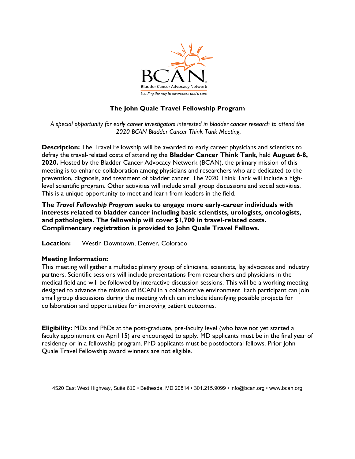

## **The John Quale Travel Fellowship Program**

*A special opportunity for early career investigators interested in bladder cancer research to attend the 2020 BCAN Bladder Cancer Think Tank Meeting.*

**Description:** The Travel Fellowship will be awarded to early career physicians and scientists to defray the travel-related costs of attending the **Bladder Cancer Think Tank**, held **August 6-8, 2020.** Hosted by the Bladder Cancer Advocacy Network (BCAN), the primary mission of this meeting is to enhance collaboration among physicians and researchers who are dedicated to the prevention, diagnosis, and treatment of bladder cancer. The 2020 Think Tank will include a highlevel scientific program. Other activities will include small group discussions and social activities. This is a unique opportunity to meet and learn from leaders in the field.

**The** *Travel Fellowship Program* **seeks to engage more early-career individuals with interests related to bladder cancer including basic scientists, urologists, oncologists, and pathologists. The fellowship will cover \$1,700 in travel-related costs. Complimentary registration is provided to John Quale Travel Fellows.**

**Location:** Westin Downtown, Denver, Colorado

## **Meeting Information:**

This meeting will gather a multidisciplinary group of clinicians, scientists, lay advocates and industry partners. Scientific sessions will include presentations from researchers and physicians in the medical field and will be followed by interactive discussion sessions. This will be a working meeting designed to advance the mission of BCAN in a collaborative environment. Each participant can join small group discussions during the meeting which can include identifying possible projects for collaboration and opportunities for improving patient outcomes.

**Eligibility:** MDs and PhDs at the post-graduate, pre-faculty level (who have not yet started a faculty appointment on April 15) are encouraged to apply. MD applicants must be in the final year of residency or in a fellowship program. PhD applicants must be postdoctoral fellows. Prior John Quale Travel Fellowship award winners are not eligible.